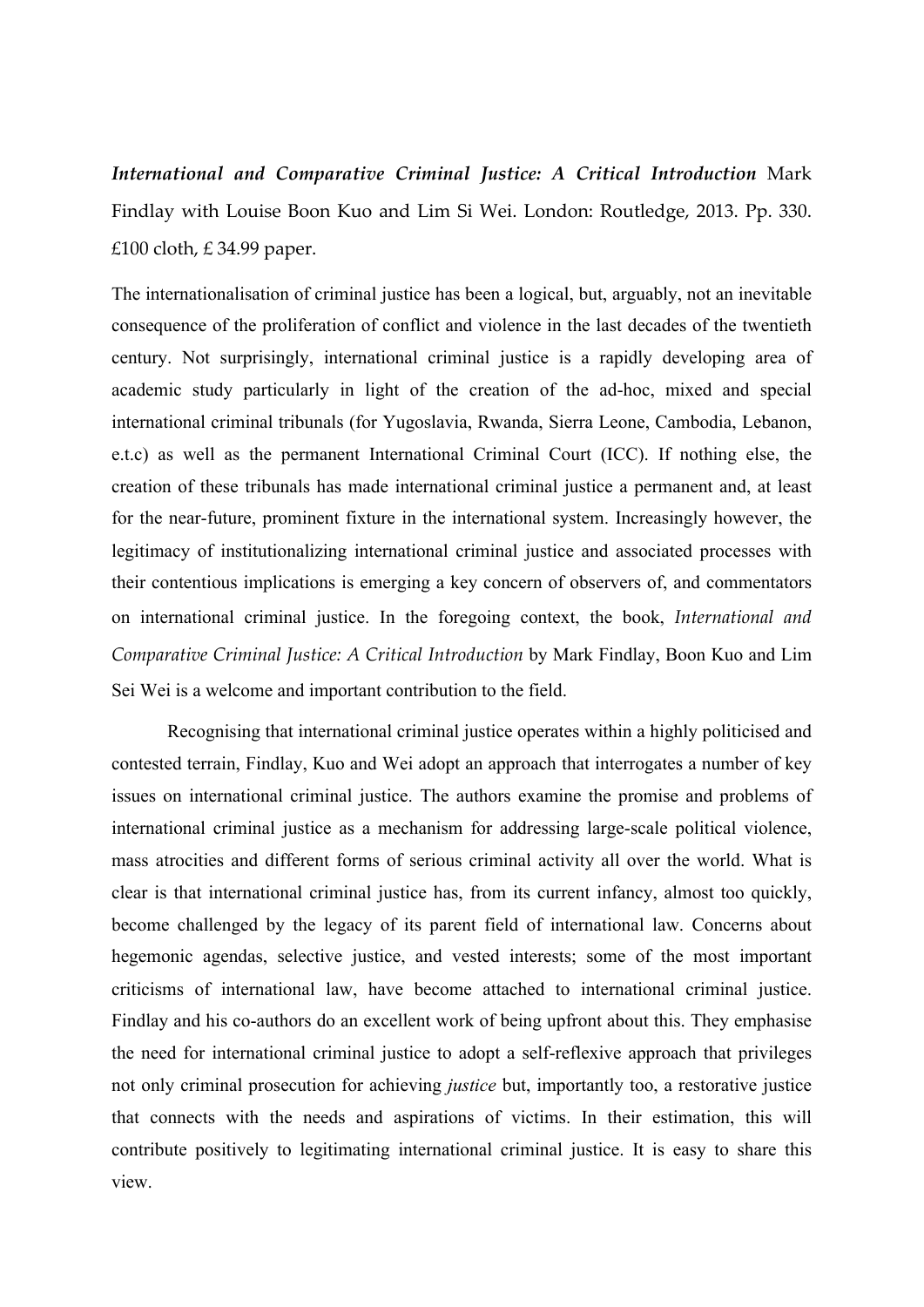*International and Comparative Criminal Justice: A Critical Introduction* Mark Findlay with Louise Boon Kuo and Lim Si Wei. London: Routledge, 2013. Pp. 330. £100 cloth, £ 34.99 paper.

The internationalisation of criminal justice has been a logical, but, arguably, not an inevitable consequence of the proliferation of conflict and violence in the last decades of the twentieth century. Not surprisingly, international criminal justice is a rapidly developing area of academic study particularly in light of the creation of the ad-hoc, mixed and special international criminal tribunals (for Yugoslavia, Rwanda, Sierra Leone, Cambodia, Lebanon, e.t.c) as well as the permanent International Criminal Court (ICC). If nothing else, the creation of these tribunals has made international criminal justice a permanent and, at least for the near-future, prominent fixture in the international system. Increasingly however, the legitimacy of institutionalizing international criminal justice and associated processes with their contentious implications is emerging a key concern of observers of, and commentators on international criminal justice. In the foregoing context, the book, *International and Comparative Criminal Justice: A Critical Introduction* by Mark Findlay, Boon Kuo and Lim Sei Wei is a welcome and important contribution to the field.

Recognising that international criminal justice operates within a highly politicised and contested terrain, Findlay, Kuo and Wei adopt an approach that interrogates a number of key issues on international criminal justice. The authors examine the promise and problems of international criminal justice as a mechanism for addressing large-scale political violence, mass atrocities and different forms of serious criminal activity all over the world. What is clear is that international criminal justice has, from its current infancy, almost too quickly, become challenged by the legacy of its parent field of international law. Concerns about hegemonic agendas, selective justice, and vested interests; some of the most important criticisms of international law, have become attached to international criminal justice. Findlay and his co-authors do an excellent work of being upfront about this. They emphasise the need for international criminal justice to adopt a self-reflexive approach that privileges not only criminal prosecution for achieving *justice* but, importantly too, a restorative justice that connects with the needs and aspirations of victims. In their estimation, this will contribute positively to legitimating international criminal justice. It is easy to share this view.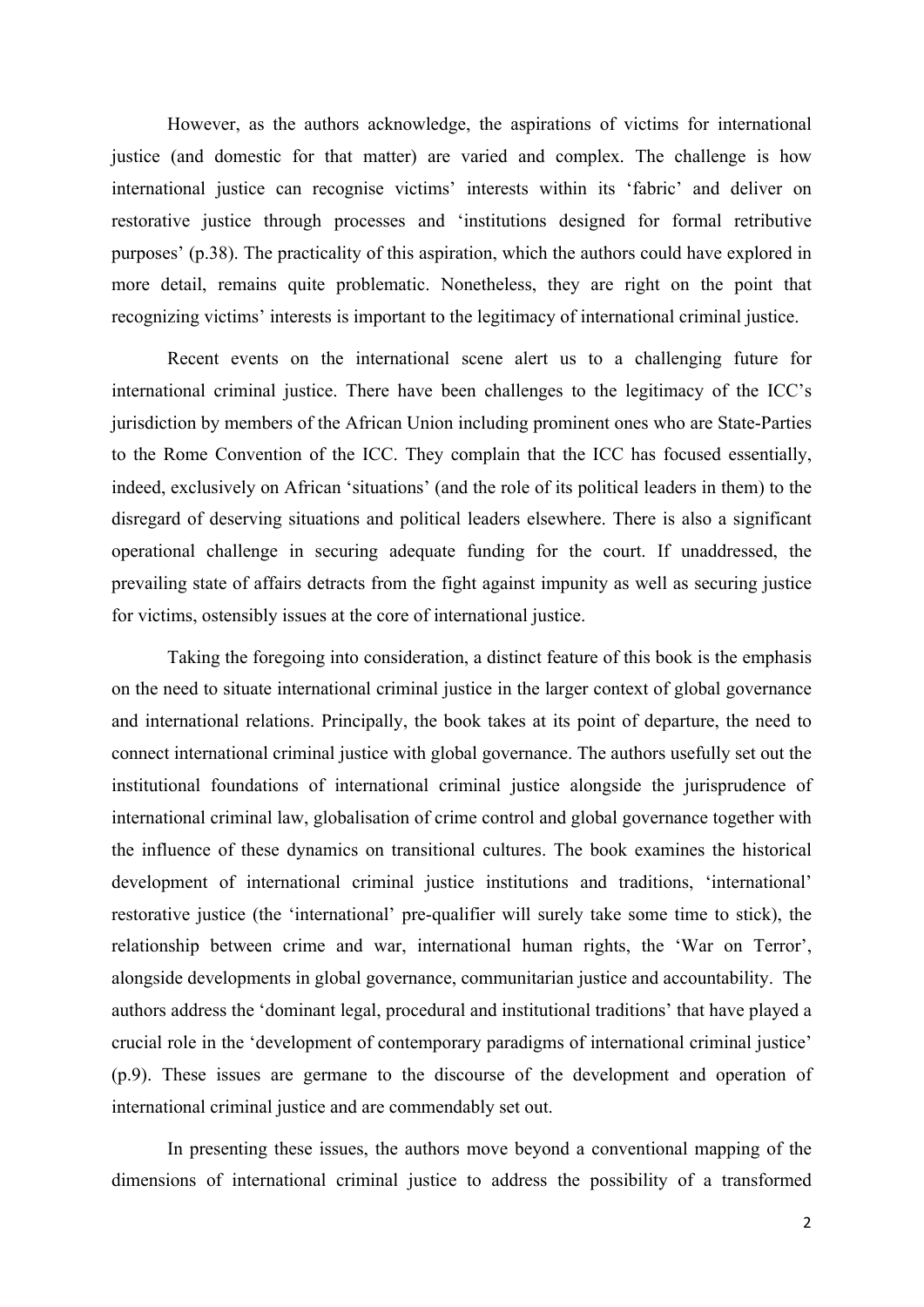However, as the authors acknowledge, the aspirations of victims for international justice (and domestic for that matter) are varied and complex. The challenge is how international justice can recognise victims' interests within its 'fabric' and deliver on restorative justice through processes and 'institutions designed for formal retributive purposes' (p.38). The practicality of this aspiration, which the authors could have explored in more detail, remains quite problematic. Nonetheless, they are right on the point that recognizing victims' interests is important to the legitimacy of international criminal justice.

Recent events on the international scene alert us to a challenging future for international criminal justice. There have been challenges to the legitimacy of the ICC's jurisdiction by members of the African Union including prominent ones who are State-Parties to the Rome Convention of the ICC. They complain that the ICC has focused essentially, indeed, exclusively on African 'situations' (and the role of its political leaders in them) to the disregard of deserving situations and political leaders elsewhere. There is also a significant operational challenge in securing adequate funding for the court. If unaddressed, the prevailing state of affairs detracts from the fight against impunity as well as securing justice for victims, ostensibly issues at the core of international justice.

Taking the foregoing into consideration, a distinct feature of this book is the emphasis on the need to situate international criminal justice in the larger context of global governance and international relations. Principally, the book takes at its point of departure, the need to connect international criminal justice with global governance. The authors usefully set out the institutional foundations of international criminal justice alongside the jurisprudence of international criminal law, globalisation of crime control and global governance together with the influence of these dynamics on transitional cultures. The book examines the historical development of international criminal justice institutions and traditions, 'international' restorative justice (the 'international' pre-qualifier will surely take some time to stick), the relationship between crime and war, international human rights, the 'War on Terror', alongside developments in global governance, communitarian justice and accountability. The authors address the 'dominant legal, procedural and institutional traditions' that have played a crucial role in the 'development of contemporary paradigms of international criminal justice' (p.9). These issues are germane to the discourse of the development and operation of international criminal justice and are commendably set out.

In presenting these issues, the authors move beyond a conventional mapping of the dimensions of international criminal justice to address the possibility of a transformed